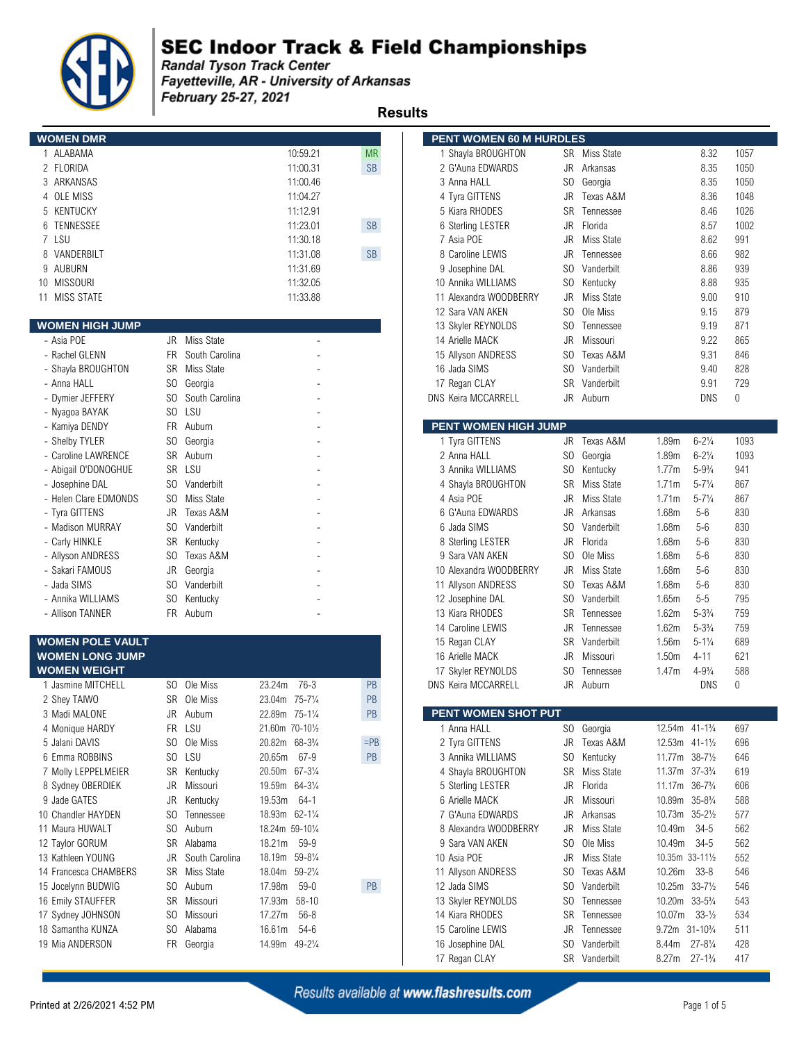

**Example 12 September 2018**<br>Fandal Tyson Track Center<br>Fayetteville, AR - University of Arkansas February 25-27, 2021

 **Results** 

| <b>WOMEN DMR</b> |          |           | <b>PENT WOMEN 60 M HURDLES</b> |  |
|------------------|----------|-----------|--------------------------------|--|
| 1 ALABAMA        | 10:59.21 | <b>MR</b> | Shayla BROUGHTON               |  |
| 2 FLORIDA        | 11:00.31 | <b>SB</b> | 2 G'Auna EDWARDS               |  |
| 3 ARKANSAS       | 11:00.46 |           | 3 Anna HALL                    |  |
| 4 OLE MISS       | 11:04.27 |           | 4 Tyra GITTENS                 |  |
| 5 KENTUCKY       | 11:12.91 |           | 5 Kiara RHODES                 |  |
| 6 TENNESSEE      | 11:23.01 | <b>SB</b> | 6 Sterling LESTER              |  |
| 7 LSU            | 11:30.18 |           | 7 Asia POE                     |  |
| 8 VANDERBILT     | 11:31.08 | <b>SB</b> | 8 Caroline LEWIS               |  |
| 9 AUBURN         | 11:31.69 |           | 9 Josephine DAL                |  |
| 10 MISSOURI      | 11:32.05 |           | 10 Annika WILLIAMS             |  |
| 11 MISS STATE    | 11:33.88 |           | 11 Alexandra WOODBERRY         |  |

### **WOMEN HIGH JUMP**

| - Asia POE            | Miss State<br>JR      | 14 Arielle MACK             | JR.       | Missouri         |       | 9.22               | 865      |
|-----------------------|-----------------------|-----------------------------|-----------|------------------|-------|--------------------|----------|
| - Rachel GLENN        | South Carolina<br>FR. | 15 Allyson ANDRESS          | SO.       | Texas A&M        |       | 9.31               | 846      |
| - Shayla BROUGHTON    | SR<br>Miss State      | 16 Jada SIMS                | SO.       | Vanderbilt       |       | 9.40               | 828      |
| - Anna HALL           | SO.<br>Georgia        | 17 Regan CLAY               | <b>SR</b> | Vanderbilt       |       | 9.91               | 729      |
| - Dymier JEFFERY      | SO.<br>South Carolina | <b>DNS Keira MCCARRELL</b>  | JR.       | Auburn           |       | <b>DNS</b>         | $\Omega$ |
| - Nyagoa BAYAK        | S <sub>0</sub><br>LSU |                             |           |                  |       |                    |          |
| - Kamiya DENDY        | FR.<br>Auburn         | <b>PENT WOMEN HIGH JUMP</b> |           |                  |       |                    |          |
| - Shelby TYLER        | SO.<br>Georgia        | 1 Tyra GITTENS              | JR        | Texas A&M        | 1.89m | $6 - 2\frac{1}{4}$ | 109      |
| - Caroline LAWRENCE   | SR<br>Auburn          | 2 Anna HALL                 | SO.       | Georgia          | 1.89m | $6 - 2\frac{1}{4}$ | 109      |
| - Abigail O'DONOGHUE  | SR LSU                | 3 Annika WILLIAMS           | SO.       | Kentucky         | 1.77m | $5 - 9\frac{3}{4}$ | 941      |
| - Josephine DAL       | SO.<br>Vanderbilt     | 4 Shayla BROUGHTON          | SR.       | Miss State       | 1.71m | $5 - 7\frac{1}{4}$ | 867      |
| - Helen Clare EDMONDS | SO.<br>Miss State     | 4 Asia POE                  | JR        | Miss State       | 1.71m | $5 - 7\frac{1}{4}$ | 867      |
| - Tyra GITTENS        | Texas A&M<br>JR       | 6 G'Auna EDWARDS            | JR.       | Arkansas         | 1.68m | $5-6$              | 830      |
| - Madison MURRAY      | SO.<br>Vanderbilt     | 6 Jada SIMS                 | SO.       | Vanderbilt       | 1.68m | $5-6$              | 830      |
| - Carly HINKLE        | <b>SR</b><br>Kentucky | 8 Sterling LESTER           | JR.       | Florida          | 1.68m | $5-6$              | 830      |
| - Allyson ANDRESS     | SO.<br>Texas A&M      | 9 Sara VAN AKEN             | SO.       | Ole Miss         | 1.68m | $5 - 6$            | 830      |
| - Sakari FAMOUS       | JR<br>Georgia         | 10 Alexandra WOODBERRY      | JR        | Miss State       | 1.68m | $5 - 6$            | 830      |
| - Jada SIMS           | SO.<br>Vanderbilt     | 11 Allyson ANDRESS          | SO.       | Texas A&M        | 1.68m | $5 - 6$            | 830      |
| - Annika WILLIAMS     | SO.<br>Kentucky       | 12 Josephine DAL            | SO.       | Vanderbilt       | 1.65m | $5 - 5$            | 795      |
| - Allison TANNFR      | FR<br>Auburn          | 13 Kiara RHODES             | <b>SR</b> | <b>Tennessee</b> | 162m  | $5 - 33/4$         | 750      |

### **WOMEN POLE VAULT WOMEN LONG JUMP**

| WOMEN WEIGHT          |     |                |                               |           | 17 Skyler REYNOLDS         | SO.       | Tennessee  | 1.47m                                   | $4 - 9\frac{3}{4}$                        | 588       |
|-----------------------|-----|----------------|-------------------------------|-----------|----------------------------|-----------|------------|-----------------------------------------|-------------------------------------------|-----------|
| Jasmine MITCHELL      | SO. | Ole Miss       | 76-3<br>23.24m                | <b>PB</b> | <b>DNS Keira MCCARRELL</b> | JR        | Auburn     |                                         | <b>DNS</b>                                | $\bigcap$ |
| 2 Shey TAIWO          | SR. | Ole Miss       | 23.04m 75-71/4                | PB        |                            |           |            |                                         |                                           |           |
| 3 Madi MALONE         | JR  | Auburn         | 22.89m 75-11/4                | PB        | <b>PENT WOMEN SHOT PUT</b> |           |            |                                         |                                           |           |
| 4 Monique HARDY       | FR. | LSU            | 21.60m 70-101/2               |           | 1 Anna HALL                |           | SO Georgia | 12.54m 41-1 <sup>3</sup> / <sub>4</sub> |                                           | 697       |
| 5 Jalani DAVIS        | SO. | Ole Miss       | 20.82m 68-33/4                | $=$ PB    | 2 Tyra GITTENS             | JR        | Texas A&M  | 12.53m 41-11/2                          |                                           | 696       |
| 6 Emma ROBBINS        | SO. | LSU            | 20.65m<br>67-9                | PB        | 3 Annika WILLIAMS          | SO.       | Kentucky   | 11.77m $38-7\frac{1}{2}$                |                                           | 646       |
| 7 Molly LEPPELMEIER   | SR  | Kentucky       | 20.50m 67-31/4                |           | 4 Shayla BROUGHTON         | <b>SR</b> | Miss State | 11.37m 37-3 <sup>3</sup> / <sub>4</sub> |                                           | 619       |
| 8 Sydney OBERDIEK     | JR  | Missouri       | 19.59m 64-31/4                |           | 5 Sterling LESTER          | JR.       | Florida    | 11.17m 36-7 <sup>3</sup> / <sub>4</sub> |                                           | 606       |
| 9 Jade GATES          | JR  | Kentucky       | 19.53m<br>64-1                |           | 6 Arielle MACK             | JR.       | Missouri   | 10.89m                                  | 35-8¾                                     | 588       |
| 10 Chandler HAYDEN    | SO. | Tennessee      | 18.93m 62-11/4                |           | 7 G'Auna EDWARDS           | JR.       | Arkansas   | 10.73m                                  | $35 - 2\frac{1}{2}$                       | 577       |
| 11 Maura HUWALT       | SO. | Auburn         | 18.24m 59-101/4               |           | 8 Alexandra WOODBERRY      | JR        | Miss State | 10.49m                                  | -34-5                                     | 562       |
| 12 Taylor GORUM       | SR. | Alabama        | 18.21m<br>59-9                |           | 9 Sara VAN AKEN            | SO.       | Ole Miss   | 10.49m                                  | -34-5                                     | 562       |
| 13 Kathleen YOUNG     | JR  | South Carolina | 18.19m 59-81/4                |           | 10 Asia POE                | JR.       | Miss State | 10.35m 33-111/2                         |                                           | 552       |
| 14 Francesca CHAMBERS |     | SR Miss State  | 18.04m 59-21/4                |           | 11 Allyson ANDRESS         | SO.       | Texas A&M  | 10.26m 33-8                             |                                           | 546       |
| 15 Jocelynn BUDWIG    | SO. | Auburn         | 17.98m<br>59-0                | PB        | 12 Jada SIMS               | SO.       | Vanderbilt |                                         | $10.25m$ 33-7 <sup>1</sup> / <sub>2</sub> | 546       |
| 16 Emily STAUFFER     | SR  | Missouri       | 17.93m<br>$58 - 10$           |           | 13 Skyler REYNOLDS         | SO.       | Tennessee  | 10.20m                                  | $33 - 5\frac{3}{4}$                       | 543       |
| 17 Sydney JOHNSON     | SO. | Missouri       | 17.27m<br>56-8                |           | 14 Kiara RHODES            | SR.       | Tennessee  | 10.07m                                  | $33 - \frac{1}{2}$                        | 534       |
| 18 Samantha KUNZA     | SO. | Alabama        | 16.61m<br>54-6                |           | 15 Caroline LEWIS          | JR        | Tennessee  | 9.72 <sub>m</sub>                       | $31 - 10\frac{3}{4}$                      | 511       |
| 19 Mia ANDERSON       |     | FR Georgia     | 14.99m<br>$49 - 2\frac{1}{4}$ |           | 16 Josephine DAL           | SO.       | Vanderbilt | 8.44m                                   | $27 - 8\frac{1}{4}$                       | 428       |
|                       |     |                |                               |           |                            |           |            |                                         |                                           |           |

| nesuils                 |                |                |                                         |           |                      |                            |                |               |                                         |                     |              |
|-------------------------|----------------|----------------|-----------------------------------------|-----------|----------------------|----------------------------|----------------|---------------|-----------------------------------------|---------------------|--------------|
| <b>WOMEN DMR</b>        |                |                |                                         |           |                      | PENT WOMEN 60 M HURDLES    |                |               |                                         |                     |              |
| 1 ALABAMA               |                |                |                                         | 10:59.21  | <b>MR</b>            | 1 Shayla BROUGHTON         |                | SR Miss State |                                         | 8.32                | 1057         |
| 2 FLORIDA               |                |                |                                         | 11:00.31  | $\mathsf{SB}\xspace$ | 2 G'Auna EDWARDS           | JR             | Arkansas      |                                         | 8.35                | 1050         |
| 3 ARKANSAS              |                |                |                                         | 11:00.46  |                      | 3 Anna HALL                | SO             | Georgia       |                                         | 8.35                | 1050         |
| 4 OLE MISS              |                |                |                                         | 11:04.27  |                      | 4 Tyra GITTENS             | JR             | Texas A&M     |                                         | 8.36                | 1048         |
| 5 KENTUCKY              |                |                |                                         | 11:12.91  |                      | 5 Kiara RHODES             | <b>SR</b>      | Tennessee     |                                         | 8.46                | 1026         |
| 6 TENNESSEE             |                |                |                                         | 11:23.01  | SB                   | 6 Sterling LESTER          | JR             | Florida       |                                         | 8.57                | 1002         |
| 7 LSU                   |                |                |                                         | 11:30.18  |                      | 7 Asia POE                 | JR             | Miss State    |                                         | 8.62                | 991          |
| 8 VANDERBILT            |                |                |                                         | 11:31.08  | SB                   | 8 Caroline LEWIS           | JR             | Tennessee     |                                         | 8.66                | 982          |
| 9 AUBURN                |                |                |                                         | 11:31.69  |                      | 9 Josephine DAL            | S <sub>0</sub> | Vanderbilt    |                                         | 8.86                | 939          |
| 10 MISSOURI             |                |                |                                         | 11:32.05  |                      | 10 Annika WILLIAMS         | S <sub>0</sub> | Kentucky      |                                         | 8.88                | 935          |
| 11 MISS STATE           |                |                |                                         | 11:33.88  |                      | 11 Alexandra WOODBERRY     | JR             | Miss State    |                                         | 9.00                | 910          |
|                         |                |                |                                         |           |                      | 12 Sara VAN AKEN           | S <sub>0</sub> | Ole Miss      |                                         | 9.15                | 879          |
| <b>WOMEN HIGH JUMP</b>  |                |                |                                         |           |                      | 13 Skyler REYNOLDS         | S <sub>0</sub> | Tennessee     |                                         | 9.19                | 871          |
| - Asia POE              | JR             | Miss State     |                                         |           |                      | 14 Arielle MACK            | JR             | Missouri      |                                         | 9.22                | 865          |
| - Rachel GLENN          | FR.            | South Carolina |                                         |           |                      | 15 Allyson ANDRESS         | S <sub>0</sub> | Texas A&M     |                                         | 9.31                | 846          |
| - Shayla BROUGHTON      | SR             | Miss State     |                                         |           |                      | 16 Jada SIMS               | S <sub>0</sub> | Vanderbilt    |                                         | 9.40                | 828          |
| - Anna HALL             | SO.            | Georgia        |                                         |           |                      | 17 Regan CLAY              | <b>SR</b>      | Vanderbilt    |                                         | 9.91                | 729          |
| - Dymier JEFFERY        | SO.            | South Carolina |                                         |           |                      | DNS Keira MCCARRELL        | <b>JR</b>      | Auburn        |                                         | <b>DNS</b>          | $\mathbf 0$  |
| - Nyagoa BAYAK          | S <sub>O</sub> | LSU            |                                         |           |                      |                            |                |               |                                         |                     |              |
| - Kamiya DENDY          | FR             | Auburn         |                                         |           |                      | PENT WOMEN HIGH JUMP       |                |               |                                         |                     |              |
| - Shelby TYLER          | SO.            | Georgia        |                                         |           |                      | 1 Tyra GITTENS             |                | JR Texas A&M  | 1.89m                                   | $6 - 2\frac{1}{4}$  | 1093         |
| - Caroline LAWRENCE     | SR             | Auburn         |                                         |           |                      | 2 Anna HALL                | S <sub>0</sub> | Georgia       | 1.89m                                   | $6 - 2\frac{1}{4}$  | 1093         |
| - Abigail O'DONOGHUE    | SR             | LSU            |                                         |           |                      | 3 Annika WILLIAMS          | S <sub>0</sub> | Kentucky      | 1.77m                                   | $5 - 9\frac{3}{4}$  | 941          |
| - Josephine DAL         | SO.            | Vanderbilt     |                                         |           |                      | 4 Shayla BROUGHTON         | <b>SR</b>      | Miss State    | 1.71m                                   | $5 - 7\frac{1}{4}$  | 867          |
| - Helen Clare EDMONDS   | SO.            | Miss State     |                                         |           |                      | 4 Asia POE                 | JR             | Miss State    | 1.71m                                   | $5 - 7\frac{1}{4}$  | 867          |
| - Tyra GITTENS          | JR             | Texas A&M      |                                         |           |                      | 6 G'Auna EDWARDS           | JR             | Arkansas      | 1.68m                                   | $5-6$               | 830          |
| - Madison MURRAY        | SO.            | Vanderbilt     |                                         |           |                      | 6 Jada SIMS                | SO.            | Vanderbilt    | 1.68m                                   | $5-6$               | 830          |
| - Carly HINKLE          | <b>SR</b>      | Kentucky       |                                         |           |                      | 8 Sterling LESTER          | JR             | Florida       | 1.68m                                   | $5-6$               | 830          |
| - Allyson ANDRESS       | SO.            | Texas A&M      |                                         |           |                      | 9 Sara VAN AKEN            | S <sub>0</sub> | Ole Miss      | 1.68m                                   | $5-6$               | 830          |
| - Sakari FAMOUS         | JR             | Georgia        |                                         |           |                      | 10 Alexandra WOODBERRY     | JR             | Miss State    | 1.68m                                   | $5-6$               | 830          |
| - Jada SIMS             | S <sub>O</sub> | Vanderbilt     |                                         |           |                      | 11 Allyson ANDRESS         | S <sub>0</sub> | Texas A&M     | 1.68m                                   | $5-6$               | 830          |
| - Annika WILLIAMS       | S <sub>O</sub> | Kentucky       |                                         |           |                      | 12 Josephine DAL           | S <sub>0</sub> | Vanderbilt    | 1.65m                                   | $5 - 5$             | 795          |
| - Allison TANNER        |                | FR Auburn      |                                         |           |                      | 13 Kiara RHODES            | SR             | Tennessee     | 1.62m                                   | $5 - 3\frac{3}{4}$  | 759          |
|                         |                |                |                                         |           |                      | 14 Caroline LEWIS          | JR             | Tennessee     | 1.62m                                   | $5 - 3\frac{3}{4}$  | 759          |
| <b>WOMEN POLE VAULT</b> |                |                |                                         |           |                      | 15 Regan CLAY              | <b>SR</b>      | Vanderbilt    | 1.56m                                   | $5 - 1\frac{1}{4}$  | 689          |
| <b>WOMEN LONG JUMP</b>  |                |                |                                         |           |                      | 16 Arielle MACK            | JR             | Missouri      | 1.50 <sub>m</sub>                       | $4 - 11$            | 621          |
| <b>WOMEN WEIGHT</b>     |                |                |                                         |           |                      | 17 Skyler REYNOLDS         | S <sub>0</sub> | Tennessee     | 1.47m                                   | $4 - 9\frac{3}{4}$  | 588          |
| 1 Jasmine MITCHELL      |                | SO Ole Miss    | 23.24m                                  | $76-3$    | PB                   | <b>DNS Keira MCCARRELL</b> | <b>JR</b>      | Auburn        |                                         | <b>DNS</b>          | $\mathbf{0}$ |
| 2 Shey TAIWO            |                | SR Ole Miss    | 23.04m 75-71/4                          |           | PB                   |                            |                |               |                                         |                     |              |
| 3 Madi MALONE           | JR             | Auburn         | 22.89m 75-11/4                          |           | PB                   | PENT WOMEN SHOT PUT        |                |               |                                         |                     |              |
| 4 Monique HARDY         | FR             | LSU            | 21.60m 70-101/2                         |           |                      | 1 Anna HALL                | SO.            | Georgia       | 12.54m 41-1 <sup>3</sup> / <sub>4</sub> |                     | 697          |
| 5 Jalani DAVIS          | SO.            | Ole Miss       | 20.82m 68-3 <sup>3</sup> / <sub>4</sub> |           | $=$ PB               | 2 Tyra GITTENS             | JR             | Texas A&M     | 12.53m 41-11/2                          |                     | 696          |
| 6 Emma ROBBINS          | SO.            | LSU            | 20.65m                                  | $67 - 9$  | PB                   | 3 Annika WILLIAMS          | SO.            | Kentucky      | 11.77m 38-71/2                          |                     | 646          |
| 7 Molly LEPPELMEIER     |                | SR Kentucky    | 20.50m 67-31/ <sub>4</sub>              |           |                      | 4 Shayla BROUGHTON         | SR             | Miss State    | 11.37m 37-3 <sup>3</sup> / <sub>4</sub> |                     | 619          |
| 8 Sydney OBERDIEK       | JR             | Missouri       | 19.59m 64-31/4                          |           |                      | 5 Sterling LESTER          | JR             | Florida       | 11.17m                                  | $36 - 7\frac{3}{4}$ | 606          |
| 9 Jade GATES            | JR             | Kentucky       | 19.53m                                  | 64-1      |                      | 6 Arielle MACK             | JR             | Missouri      | 10.89m 35-83/4                          |                     | 588          |
| 10 Chandler HAYDEN      | SO.            | Tennessee      | 18.93m 62-11/4                          |           |                      | 7 G'Auna EDWARDS           | JR             | Arkansas      | 10.73m 35-21/2                          |                     | 577          |
| 11 Maura HUWALT         | S <sub>0</sub> | Auburn         | 18.24m 59-101/4                         |           |                      | 8 Alexandra WOODBERRY      | JR.            | Miss State    | 10.49m                                  | $34-5$              | 562          |
| 12 Taylor GORUM         |                | SR Alabama     | 18.21m 59-9                             |           |                      | 9 Sara VAN AKEN            | S <sub>0</sub> | Ole Miss      | 10.49m                                  | $34-5$              | 562          |
| 13 Kathleen YOUNG       | JR             | South Carolina | 18.19m 59-81/4                          |           |                      | 10 Asia POE                | JR             | Miss State    | 10.35m 33-111/2                         |                     | 552          |
| 14 Francesca CHAMBERS   | SR             | Miss State     | 18.04m 59-21/4                          |           |                      | 11 Allyson ANDRESS         | SO.            | Texas A&M     | 10.26m                                  | $33 - 8$            | 546          |
| 15 Jocelynn BUDWIG      | SO.            | Auburn         | 17.98m                                  | $59-0$    | PB                   | 12 Jada SIMS               | SO.            | Vanderbilt    | 10.25m 33-71/2                          |                     | 546          |
| 16 Emily STAUFFER       | SR             | Missouri       | 17.93m                                  | $58 - 10$ |                      | 13 Skyler REYNOLDS         | SO.            | Tennessee     | 10.20m 33-5 <sup>3</sup> / <sub>4</sub> |                     | 543          |
| 17 Sydney JOHNSON       | S <sub>0</sub> | Missouri       | 17.27m                                  | $56 - 8$  |                      | 14 Kiara RHODES            | <b>SR</b>      | Tennessee     | 10.07m                                  | $33 - \frac{1}{2}$  | 534          |
| 18 Samantha KUNZA       | SO.            | Alabama        | 16.61m                                  | $54-6$    |                      | 15 Caroline LEWIS          | JR             | Tennessee     | 9.72m 31-10 <sup>3</sup> / <sub>4</sub> |                     | 511          |
| 19 Mia ANDERSON         | <b>FR</b>      | Georgia        | 14.99m 49-21/4                          |           |                      | 16 Josephine DAL           | S <sub>0</sub> | Vanderbilt    | 8.44m                                   | $27 - 8\frac{1}{4}$ | 428          |
|                         |                |                |                                         |           |                      | 17 Regan CLAY              |                | SR Vanderbilt | 8.27m                                   | $27 - 1\frac{3}{4}$ | 417          |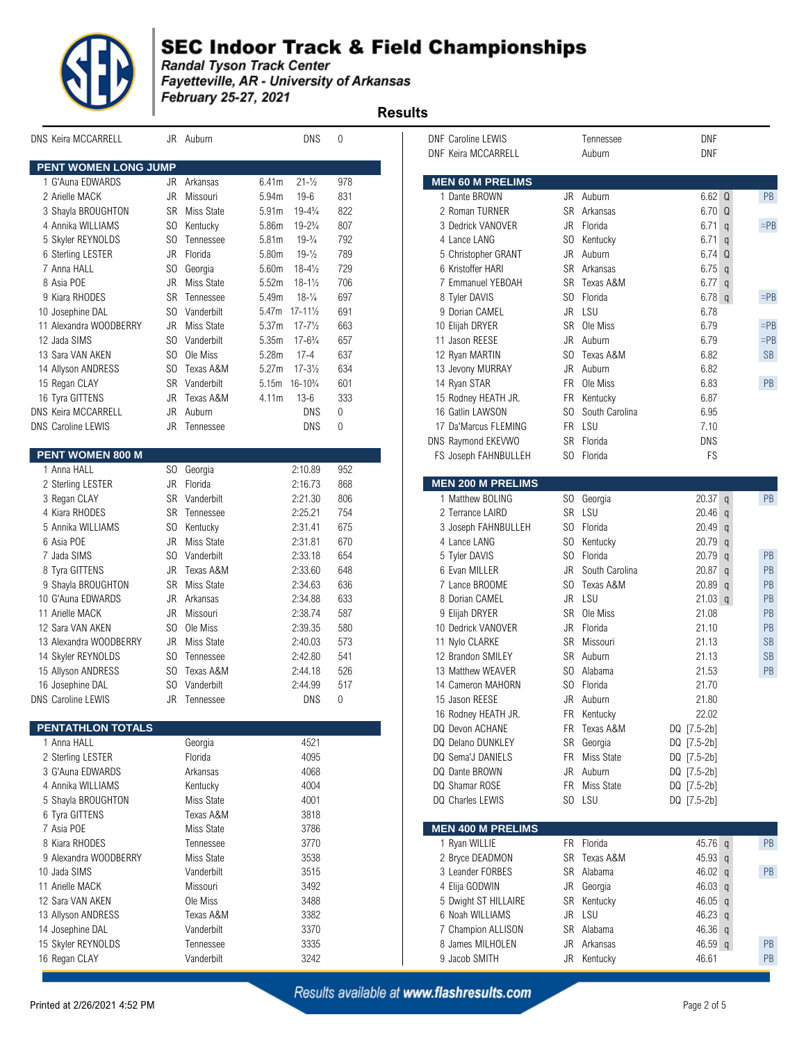

**Example 12 September 2018**<br>Fandal Tyson Track Center<br>Fayetteville, AR - University of Arkansas February 25-27, 2021

 **Results** 

| <b>DNS Keira MCCARRELL</b> | JR             | Auburn        |                   | <b>DNS</b>                              | $\mathbf 0$  | <b>DNF Caroline LEWIS</b><br><b>DNF Keira MCCARRELL</b> |                | Tennessee<br>Auburn  | <b>DNF</b><br><b>DNF</b> |           |
|----------------------------|----------------|---------------|-------------------|-----------------------------------------|--------------|---------------------------------------------------------|----------------|----------------------|--------------------------|-----------|
| PENT WOMEN LONG JUMP       |                |               |                   |                                         |              |                                                         |                |                      |                          |           |
| 1 G'Auna EDWARDS           |                | JR Arkansas   | 6.41m             | $21 - \frac{1}{2}$                      | 978          | <b>MEN 60 M PRELIMS</b>                                 |                |                      |                          |           |
| 2 Arielle MACK             | JR             | Missouri      | 5.94m             | $19 - 6$                                | 831          | 1 Dante BROWN                                           |                | JR Auburn            | $6.62$ Q                 | PB        |
| 3 Shayla BROUGHTON         | SR             | Miss State    | 5.91 <sub>m</sub> | $19 - 4\frac{3}{4}$                     | 822          | 2 Roman TURNER                                          | <b>SR</b>      | Arkansas             | 6.70Q                    |           |
| 4 Annika WILLIAMS          | SO.            | Kentucky      | 5.86m             | $19 - 2\frac{3}{4}$                     | 807          | 3 Dedrick VANOVER                                       | JR             | Florida              | $6.71$ q                 | $=$ Pl    |
| 5 Skyler REYNOLDS          | SO.            | Tennessee     | 5.81m             | $19-3/4$                                | 792          | 4 Lance LANG                                            | S <sub>0</sub> | Kentucky             | 6.71<br>$\mathsf{q}$     |           |
| 6 Sterling LESTER          | JR             | Florida       | 5.80m             | $19 - \frac{1}{2}$                      | 789          | 5 Christopher GRANT                                     | JR             | Auburn               | 6.74 Q                   |           |
| 7 Anna HALL                | SO.            | Georgia       | 5.60m             | $18 - 4\frac{1}{2}$                     | 729          | 6 Kristoffer HARI                                       | SR             | Arkansas             | $6.75$ q                 |           |
| 8 Asia POE                 | <b>JR</b>      | Miss State    | 5.52m             | $18 - 1\frac{1}{2}$                     | 706          | 7 Emmanuel YEBOAH                                       | SR             | Texas A&M            | $6.77$ q                 |           |
| 9 Kiara RHODES             | <b>SR</b>      | Tennessee     | 5.49m             | $18-1/4$                                | 697          | 8 Tyler DAVIS                                           | SO.            | Florida              | 6.78 $q$                 | $=$ Pl    |
| 10 Josephine DAL           | SO.            | Vanderbilt    |                   | 5.47m 17-111/2                          | 691          | 9 Dorian CAMEL                                          | JR             | LSU                  | 6.78                     |           |
| 11 Alexandra WOODBERRY     | JR             | Miss State    | 5.37m             | $17 - 7\frac{1}{2}$                     | 663          | 10 Elijah DRYER                                         | SR             | Ole Miss             | 6.79                     | $=$ P $[$ |
| 12 Jada SIMS               | SO.            | Vanderbilt    | 5.35m             | $17 - 6\frac{3}{4}$                     | 657          | 11 Jason REESE                                          | JR             | Auburn               | 6.79                     | $=$ Pl    |
| 13 Sara VAN AKEN           | SO.            | Ole Miss      | 5.28m             | $17 - 4$                                | 637          | 12 Ryan MARTIN                                          | S <sub>0</sub> | Texas A&M            | 6.82                     | <b>SB</b> |
| 14 Allyson ANDRESS         | SO             | Texas A&M     | 5.27m             | $17 - 3\frac{1}{2}$                     | 634          | 13 Jevony MURRAY                                        | JR             | Auburn               | 6.82                     |           |
| 15 Regan CLAY              | <b>SR</b>      | Vanderbilt    |                   | 5.15m 16-10 <sup>3</sup> / <sub>4</sub> | 601          | 14 Ryan STAR                                            | <b>FR</b>      | Ole Miss             | 6.83                     | PB        |
| 16 Tyra GITTENS            | JR             | Texas A&M     | 4.11m             | $13 - 6$                                | 333          | 15 Rodney HEATH JR.                                     | FR             | Kentucky             | 6.87                     |           |
| DNS Keira MCCARRELL        | JR             | Auburn        |                   | <b>DNS</b>                              | $\mathbf 0$  | 16 Gatlin LAWSON                                        | SO.            | South Carolina       | 6.95                     |           |
| <b>DNS Caroline LEWIS</b>  | JR             | Tennessee     |                   | <b>DNS</b>                              | $\mathbf{0}$ | 17 Da'Marcus FLEMING                                    |                | FR LSU               | 7.10                     |           |
|                            |                |               |                   |                                         |              |                                                         |                |                      |                          |           |
| PENT WOMEN 800 M           |                |               |                   |                                         |              | DNS Raymond EKEVWO                                      |                | SR Florida           | <b>DNS</b>               |           |
| 1 Anna HALL                |                |               |                   |                                         | 952          | FS Joseph FAHNBULLEH                                    |                | SO Florida           | <b>FS</b>                |           |
|                            | SO.            | Georgia       |                   | 2:10.89                                 |              |                                                         |                |                      |                          |           |
| 2 Sterling LESTER          | JR             | Florida       |                   | 2:16.73                                 | 868          | <b>MEN 200 M PRELIMS</b>                                |                |                      |                          |           |
| 3 Regan CLAY               | SR             | SR Vanderbilt |                   | 2:21.30                                 | 806<br>754   | 1 Matthew BOLING                                        |                | SO Georgia<br>SR LSU | $20.37$ q                | PB        |
| 4 Kiara RHODES             |                | Tennessee     |                   | 2:25.21                                 |              | 2 Terrance LAIRD                                        |                |                      | $20.46$ q                |           |
| 5 Annika WILLIAMS          | SO             | Kentucky      |                   | 2:31.41                                 | 675          | 3 Joseph FAHNBULLEH                                     | SO             | Florida              | $20.49$ q                |           |
| 6 Asia POE                 | JR             | Miss State    |                   | 2:31.81                                 | 670          | 4 Lance LANG                                            | SO.            | Kentucky             | $20.79$ q                |           |
| 7 Jada SIMS                | S <sub>0</sub> | Vanderbilt    |                   | 2:33.18                                 | 654          | 5 Tyler DAVIS                                           | S <sub>0</sub> | Florida              | 20.79<br>$\mathsf{q}$    | PB        |
| 8 Tyra GITTENS             | JR             | Texas A&M     |                   | 2:33.60                                 | 648          | 6 Evan MILLER                                           | JR             | South Carolina       | 20.87<br>$\mathsf{q}$    | PB        |
| 9 Shayla BROUGHTON         |                | SR Miss State |                   | 2:34.63                                 | 636          | 7 Lance BROOME                                          | SO.            | Texas A&M            | $20.89$ q                | PB        |
| 10 G'Auna EDWARDS          | JR             | Arkansas      |                   | 2:34.88                                 | 633          | 8 Dorian CAMEL                                          | JR             | LSU                  | $21.03$ q                | PB        |
| 11 Arielle MACK            | JR             | Missouri      |                   | 2:38.74                                 | 587          | 9 Elijah DRYER                                          | <b>SR</b>      | Ole Miss             | 21.08                    | PB        |
| 12 Sara VAN AKEN           | SO.            | Ole Miss      |                   | 2:39.35                                 | 580          | 10 Dedrick VANOVER                                      | JR             | Florida              | 21.10                    | PB        |
| 13 Alexandra WOODBERRY     | JR             | Miss State    |                   | 2:40.03                                 | 573          | 11 Nylo CLARKE                                          | SR             | Missouri             | 21.13                    | <b>SB</b> |
| 14 Skyler REYNOLDS         | SO.            | Tennessee     |                   | 2:42.80                                 | 541          | 12 Brandon SMILEY                                       | SR             | Auburn               | 21.13                    | <b>SB</b> |
| 15 Allyson ANDRESS         | SO.            | Texas A&M     |                   | 2:44.18                                 | 526          | 13 Matthew WEAVER                                       | SO             | Alabama              | 21.53                    | PB        |
| 16 Josephine DAL           | SO.            | Vanderbilt    |                   | 2:44.99                                 | 517          | 14 Cameron MAHORN                                       | SO             | Florida              | 21.70                    |           |
| DNS Caroline LEWIS         | JR.            | Tennessee     |                   | <b>DNS</b>                              | $\mathbf 0$  | 15 Jason REESE                                          | JR             | Auburn               | 21.80                    |           |
|                            |                |               |                   |                                         |              | 16 Rodney HEATH JR.                                     |                | FR Kentucky          | 22.02                    |           |
| PENTATHLON TOTALS          |                |               |                   |                                         |              | DQ Devon ACHANE                                         | FR             | Texas A&M            | DQ [7.5-2b]              |           |
| 1 Anna HALL                |                | Georgia       |                   | 4521                                    |              | DQ Delano DUNKLEY                                       |                | SR Georgia           | DQ [7.5-2b]              |           |
| 2 Sterling LESTER          |                | Florida       |                   | 4095                                    |              | DQ Sema'J DANIELS                                       | FR             | Miss State           | DQ [7.5-2b]              |           |
| 3 G'Auna EDWARDS           |                | Arkansas      |                   | 4068                                    |              | DQ Dante BROWN                                          | JR             | Auburn               | DQ [7.5-2b]              |           |
| 4 Annika WILLIAMS          |                | Kentucky      |                   | 4004                                    |              | DQ Shamar ROSE                                          |                | FR Miss State        | DQ [7.5-2b]              |           |
| 5 Shayla BROUGHTON         |                | Miss State    |                   | 4001                                    |              | DQ Charles LEWIS                                        |                | SO LSU               | DQ [7.5-2b]              |           |
| 6 Tyra GITTENS             |                | Texas A&M     |                   | 3818                                    |              |                                                         |                |                      |                          |           |
| 7 Asia POE                 |                | Miss State    |                   | 3786                                    |              | <b>MEN 400 M PRELIMS</b>                                |                |                      |                          |           |
| 8 Kiara RHODES             |                | Tennessee     |                   | 3770                                    |              | 1 Ryan WILLIE                                           |                | FR Florida           | 45.76 q                  | PB        |
| 9 Alexandra WOODBERRY      |                | Miss State    |                   | 3538                                    |              | 2 Bryce DEADMON                                         | SR             | Texas A&M            | 45.93 q                  |           |
| 10 Jada SIMS               |                | Vanderbilt    |                   | 3515                                    |              | 3 Leander FORBES                                        |                | SR Alabama           | 46.02 q                  | PB        |
| 11 Arielle MACK            |                | Missouri      |                   | 3492                                    |              | 4 Elija GODWIN                                          | JR             | Georgia              | 46.03 q                  |           |
| 12 Sara VAN AKEN           |                | Ole Miss      |                   | 3488                                    |              | 5 Dwight ST HILLAIRE                                    |                | SR Kentucky          | 46.05 q                  |           |
| 13 Allyson ANDRESS         |                | Texas A&M     |                   | 3382                                    |              | 6 Noah WILLIAMS                                         |                | JR LSU               | 46.23 q                  |           |
| 14 Josephine DAL           |                | Vanderbilt    |                   | 3370                                    |              | 7 Champion ALLISON                                      |                | SR Alabama           | $46.36$ q                |           |
| 15 Skyler REYNOLDS         |                | Tennessee     |                   | 3335                                    |              | 8 James MILHOLEN                                        | JR             | Arkansas             | $46.59$ q                | PB        |
| 16 Regan CLAY              |                | Vanderbilt    |                   | 3242                                    |              | 9 Jacob SMITH                                           |                | JR Kentucky          | 46.61                    | PB        |
|                            |                |               |                   |                                         |              |                                                         |                |                      |                          |           |

| <b>VS Keira MCCARRELL</b>   |     | JR Auburn    |                   | <b>DNS</b>           | 0            | <b>DNF Caroline LEWIS</b><br><b>DNF Keira MCCARRELL</b> |           | Tennessee<br>Auburn | <b>DNF</b><br><b>DNF</b> |           |
|-----------------------------|-----|--------------|-------------------|----------------------|--------------|---------------------------------------------------------|-----------|---------------------|--------------------------|-----------|
| <b>PENT WOMEN LONG JUMP</b> |     |              |                   |                      |              |                                                         |           |                     |                          |           |
| 1 G'Auna EDWARDS            |     | JR Arkansas  | 6.41m             | $21 - \frac{1}{2}$   | 978          | <b>MEN 60 M PRELIMS</b>                                 |           |                     |                          |           |
| 2 Arielle MACK              | JR  | Missouri     | 5.94m             | $19-6$               | 831          | 1 Dante BROWN                                           |           | JR Auburn           | 6.62 Q                   | PB        |
| 3 Shayla BROUGHTON          | SR  | Miss State   | 5.91m             | $19 - 4\frac{3}{4}$  | 822          | 2 Roman TURNER                                          | <b>SR</b> | Arkansas            | 6.70 Q                   |           |
| 4 Annika WILLIAMS           | SO. | Kentucky     | 5.86m             | $19 - 2\frac{3}{4}$  | 807          | 3 Dedrick VANOVER                                       | JR        | Florida             | $6.71$ q                 | $=$ PB    |
| 5 Skyler REYNOLDS           | SO. | Tennessee    | 5.81m             | $19-3/4$             | 792          | 4 Lance LANG                                            | SO.       | Kentucky            | $6.71$ q                 |           |
| 6 Sterling LESTER           | JR  | Florida      | 5.80m             | $19 - \frac{1}{2}$   | 789          | 5 Christopher GRANT                                     | JR        | Auburn              | $6.74$ Q                 |           |
| 7 Anna HALL                 | SO. | Georgia      | 5.60m             | $18 - 4\frac{1}{2}$  | 729          | 6 Kristoffer HARI                                       | SR        | Arkansas            | $6.75$ q                 |           |
| 8 Asia POE                  | JR. | Miss State   | 5.52m             | $18 - 1\frac{1}{2}$  | 706          | 7 Emmanuel YEBOAH                                       | SR.       | Texas A&M           | $6.77$ q                 |           |
| 9 Kiara RHODES              | SR  | Tennessee    | 5.49m             | $18 - \frac{1}{4}$   | 697          | 8 Tyler DAVIS                                           | SO.       | Florida             | 6.78q                    | $=$ PB    |
| 10 Josephine DAL            | SO. | Vanderbilt   |                   | 5.47m 17-111/2       | 691          | 9 Dorian CAMEL                                          | JR.       | LSU                 | 6.78                     |           |
| 11 Alexandra WOODBERRY      | JR  | Miss State   | 5.37 <sub>m</sub> | $17 - 7\frac{1}{2}$  | 663          | 10 Elijah DRYER                                         | <b>SR</b> | Ole Miss            | 6.79                     | $=$ PB    |
| 12 Jada SIMS                | SO. | Vanderbilt   | 5.35m             | $17 - 6\frac{3}{4}$  | 657          | 11 Jason REESE                                          | JR        | Auburn              | 6.79                     | $=$ PB    |
| 13 Sara VAN AKEN            | SO. | Ole Miss     | 5.28m             | $17 - 4$             | 637          | 12 Ryan MARTIN                                          | SO.       | Texas A&M           | 6.82                     | <b>SB</b> |
| 14 Allyson ANDRESS          | SO. | Texas A&M    | 5.27m             | $17 - 3\frac{1}{2}$  | 634          | 13 Jevony MURRAY                                        | JR        | Auburn              | 6.82                     |           |
| 15 Regan CLAY               | SR  | Vanderbilt   | 5.15m             | $16 - 10\frac{3}{4}$ | 601          | 14 Ryan STAR                                            | <b>FR</b> | Ole Miss            | 6.83                     | PB        |
| 16 Tyra GITTENS             | JR  | Texas A&M    | 4.11m             | $13 - 6$             | 333          | 15 Rodney HEATH JR.                                     | FR        | Kentucky            | 6.87                     |           |
| NS Keira MCCARRELL          | JR  | Auburn       |                   | DNS                  | $\mathbf{0}$ | 16 Gatlin LAWSON                                        | SO.       | South Carolina      | 6.95                     |           |
| <b>NS Caroline LEWIS</b>    |     | JR Tennessee |                   | DNS                  | $\mathbf 0$  | 17 Da'Marcus FLEMING                                    |           | FR LSU              | 7.10                     |           |
|                             |     |              |                   |                      |              | DNS Raymond EKEVWO                                      |           | SR Florida          | <b>DNS</b>               |           |
| <b>PENT WOMEN 800 M</b>     |     |              |                   |                      |              | FS Joseph FAHNBULLEH                                    |           | SO Florida          | FS                       |           |
| 1 Anna HALL                 | SO. | Georgia      |                   | 2:10.89              | 952          |                                                         |           |                     |                          |           |
| 2 Sterling LESTER           | JR  | Florida      |                   | 2:16.73              | 868          | <b>MEN 200 M PRELIMS</b>                                |           |                     |                          |           |
| 3 Regan CLAY                | SR  | Vanderbilt   |                   | 2:21.30              | 806          | 1 Matthew BOLING                                        |           | SO Georgia          | $20.37$ q                | PB        |
| 4 Kiara RHODES              | SR  | Tennessee    |                   | 2:25.21              | 754          | 2 Terrance LAIRD                                        |           | SR LSU              | $20.46$ q                |           |
| 5 Annika WILLIAMS           | SO. | Kentucky     |                   | 2:31.41              | 675          | 3 Joseph FAHNBULLEH                                     | SO.       | Florida             | $20.49$ q                |           |
| 6 Asia POE                  | JR. | Miss State   |                   | 2:31.81              | 670          | 4 Lance LANG                                            | SO.       |                     | $20.79$ q                |           |
|                             |     | Vanderbilt   |                   |                      |              |                                                         | SO.       | Kentucky<br>Florida |                          | PB        |
| 7 Jada SIMS                 | SO. |              |                   | 2:33.18              | 654          | 5 Tyler DAVIS                                           |           |                     | 20.79 q                  |           |
| 8 Tyra GITTENS              | JR  | Texas A&M    |                   | 2:33.60              | 648          | 6 Evan MILLER                                           | <b>JR</b> | South Carolina      | 20.87 q                  | PB        |
| 9 Shayla BROUGHTON          | SR  | Miss State   |                   | 2:34.63              | 636          | 7 Lance BROOME                                          | SO.       | Texas A&M           | $20.89$ q                | PB        |
| 10 G'Auna EDWARDS           | JR  | Arkansas     |                   | 2:34.88              | 633          | 8 Dorian CAMEL                                          | JR        | LSU                 | $21.03$ q                | PB        |
| 11 Arielle MACK             | JR  | Missouri     |                   | 2:38.74              | 587          | 9 Elijah DRYER                                          | SR        | Ole Miss            | 21.08                    | PB        |
| 12 Sara VAN AKEN            | SO. | Ole Miss     |                   | 2:39.35              | 580          | 10 Dedrick VANOVER                                      | JR.       | Florida             | 21.10                    | PB        |
| 13 Alexandra WOODBERRY      | JR  | Miss State   |                   | 2:40.03              | 573          | 11 Nylo CLARKE                                          | SR        | Missouri            | 21.13                    | <b>SB</b> |
| 14 Skyler REYNOLDS          | SO. | Tennessee    |                   | 2:42.80              | 541          | 12 Brandon SMILEY                                       | SR        | Auburn              | 21.13                    | <b>SB</b> |
| 15 Allyson ANDRESS          | SO. | Texas A&M    |                   | 2:44.18              | 526          | 13 Matthew WEAVER                                       | SO.       | Alabama             | 21.53                    | PB        |
| 16 Josephine DAL            | SO. | Vanderbilt   |                   | 2:44.99              | 517          | 14 Cameron MAHORN                                       | SO.       | Florida             | 21.70                    |           |
| <b>NS Caroline LEWIS</b>    | JR  | Tennessee    |                   | DNS                  | $\mathbf 0$  | 15 Jason REESE                                          | JR        | Auburn              | 21.80                    |           |
|                             |     |              |                   |                      |              | 16 Rodney HEATH JR.                                     |           | FR Kentucky         | 22.02                    |           |
| PENTATHLON TOTALS           |     |              |                   |                      |              | DQ Devon ACHANE                                         | FR        | Texas A&M           | DQ [7.5-2b]              |           |
| 1 Anna HALL                 |     | Georgia      |                   | 4521                 |              | DQ Delano DUNKLEY                                       |           | SR Georgia          | DQ [7.5-2b]              |           |
| 2 Sterling LESTER           |     | Florida      |                   | 4095                 |              | DQ Sema'J DANIELS                                       |           | FR Miss State       | DQ [7.5-2b]              |           |
| 3 G'Auna EDWARDS            |     | Arkansas     |                   | 4068                 |              | DQ Dante BROWN                                          | JR        | Auburn              | DQ [7.5-2b]              |           |
| 4 Annika WILLIAMS           |     | Kentucky     |                   | 4004                 |              | DQ Shamar ROSE                                          | FR        | Miss State          | DQ [7.5-2b]              |           |
| 5 Shayla BROUGHTON          |     | Miss State   |                   | 4001                 |              | DQ Charles LEWIS                                        |           | SO LSU              | DQ [7.5-2b]              |           |
| 6 Tyra GITTENS              |     | Texas A&M    |                   | 3818                 |              |                                                         |           |                     |                          |           |
| 7 Asia POE                  |     | Miss State   |                   | 3786                 |              | <b>MEN 400 M PRELIMS</b>                                |           |                     |                          |           |
| 8 Kiara RHODES              |     | Tennessee    |                   | 3770                 |              | 1 Ryan WILLIE                                           |           | FR Florida          | 45.76 q                  | PB        |
| 9 Alexandra WOODBERRY       |     | Miss State   |                   | 3538                 |              | 2 Bryce DEADMON                                         | SR        | Texas A&M           | 45.93 q                  |           |
| 10 Jada SIMS                |     | Vanderbilt   |                   | 3515                 |              | 3 Leander FORBES                                        | SR        | Alabama             | 46.02 $q$                | PB        |
| 11 Arielle MACK             |     | Missouri     |                   | 3492                 |              | 4 Elija GODWIN                                          | JR        | Georgia             | 46.03 $q$                |           |
| 12 Sara VAN AKEN            |     | Ole Miss     |                   | 3488                 |              | 5 Dwight ST HILLAIRE                                    | <b>SR</b> | Kentucky            | 46.05 $q$                |           |
| 13 Allyson ANDRESS          |     | Texas A&M    |                   | 3382                 |              | 6 Noah WILLIAMS                                         |           | JR LSU              | 46.23 $q$                |           |
| 14 Josephine DAL            |     | Vanderbilt   |                   | 3370                 |              | 7 Champion ALLISON                                      | <b>SR</b> | Alabama             | 46.36 q                  |           |
| 15 Skyler REYNOLDS          |     | Tennessee    |                   | 3335                 |              | 8 James MILHOLEN                                        | JR        | Arkansas            | 46.59 q                  | PB        |
| 16 Regan CLAY               |     | Vanderbilt   |                   | 3242                 |              | 9 Jacob SMITH                                           |           | JR Kentucky         | 46.61                    | PB        |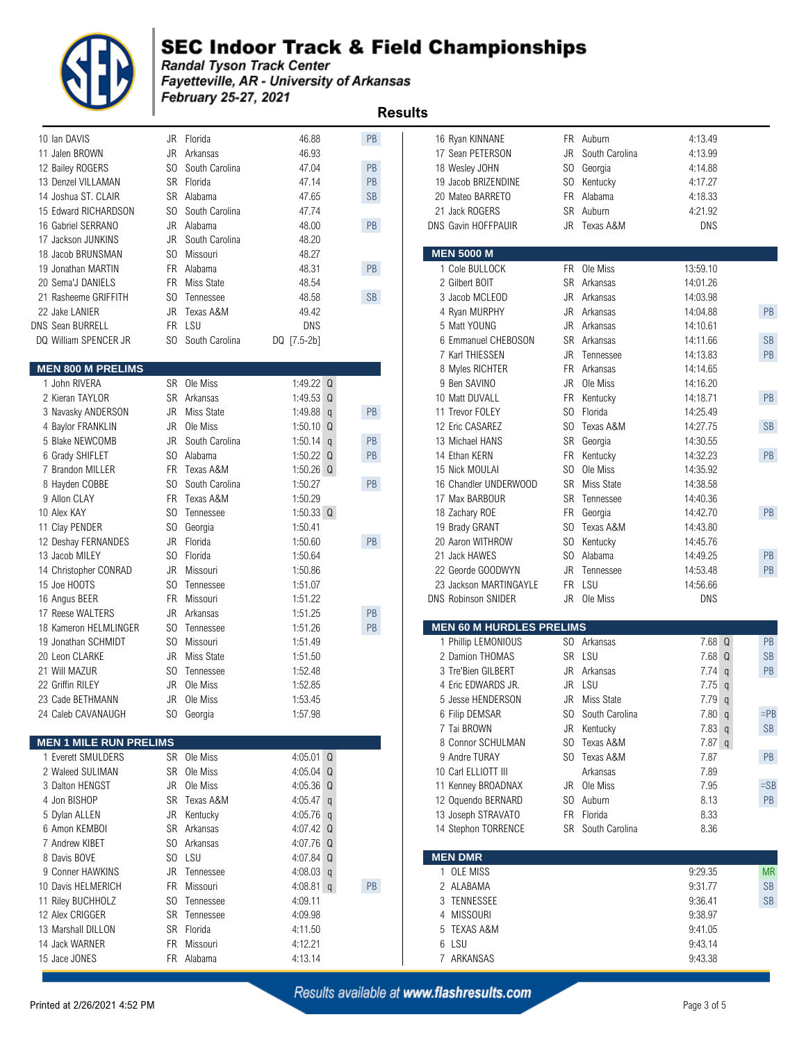

**Example 12 September 2018**<br>Fandal Tyson Track Center<br>Fayetteville, AR - University of Arkansas February 25-27, 2021

| 10 Ian DAVIS                            |                | JR Florida        | 46.88          | PB        | 16 Ryan KINNANE                 |                | FR Auburn         | 4:13.49                    |           |
|-----------------------------------------|----------------|-------------------|----------------|-----------|---------------------------------|----------------|-------------------|----------------------------|-----------|
| 11 Jalen BROWN                          | JR             | Arkansas          | 46.93          |           | 17 Sean PETERSON                | JR             | South Carolina    | 4:13.99                    |           |
| 12 Bailey ROGERS                        | SO             | South Carolina    | 47.04          | PB        | 18 Wesley JOHN                  | S <sub>O</sub> | Georgia           | 4:14.88                    |           |
| 13 Denzel VILLAMAN                      | SR             | Florida           | 47.14          | PB        | 19 Jacob BRIZENDINE             | SO             | Kentucky          | 4:17.27                    |           |
| 14 Joshua ST. CLAIR                     | <b>SR</b>      | Alabama           | 47.65          | <b>SB</b> | 20 Mateo BARRETO                | <b>FR</b>      | Alabama           | 4:18.33                    |           |
| 15 Edward RICHARDSON                    | SO.            | South Carolina    | 47.74          |           | 21 Jack ROGERS                  | <b>SR</b>      | Auburn            | 4:21.92                    |           |
| 16 Gabriel SERRANO                      | JR             | Alabama           | 48.00          | PB        | DNS Gavin HOFFPAUIR             | JR             | Texas A&M         | <b>DNS</b>                 |           |
| 17 Jackson JUNKINS                      | JR.            | South Carolina    | 48.20          |           |                                 |                |                   |                            |           |
| 18 Jacob BRUNSMAN                       | SO.            | Missouri          | 48.27          |           | <b>MEN 5000 M</b>               |                |                   |                            |           |
| 19 Jonathan MARTIN                      | <b>FR</b>      | Alabama           | 48.31          | PB        | 1 Cole BULLOCK                  | <b>FR</b>      | Ole Miss          | 13:59.10                   |           |
| 20 Sema'J DANIELS                       | FR.            | <b>Miss State</b> | 48.54          |           | 2 Gilbert BOIT                  |                | SR Arkansas       | 14:01.26                   |           |
| 21 Rasheeme GRIFFITH                    | SO.            | Tennessee         | 48.58          | SB        | 3 Jacob MCLEOD                  | JR             | Arkansas          | 14:03.98                   |           |
| 22 Jake LANIER                          | JR.            | Texas A&M         | 49.42          |           | 4 Ryan MURPHY                   | JR             | Arkansas          | 14:04.88                   | PB        |
| DNS Sean BURRELL                        | FR.            | LSU               | <b>DNS</b>     |           | 5 Matt YOUNG                    | JR.            | Arkansas          | 14:10.61                   |           |
| DQ William SPENCER JR                   | SO.            | South Carolina    | DQ [7.5-2b]    |           | 6 Emmanuel CHEBOSON             | <b>SR</b>      | Arkansas          | 14:11.66                   | <b>SB</b> |
|                                         |                |                   |                |           | 7 Karl THIESSEN                 | JR             | Tennessee         | 14:13.83                   | PB        |
| <b>MEN 800 M PRELIMS</b>                |                |                   |                |           | 8 Myles RICHTER                 | <b>FR</b>      | Arkansas          | 14:14.65                   |           |
| 1 John RIVERA                           |                | SR Ole Miss       | 1:49.22 Q      |           | 9 Ben SAVINO                    | JR             | Ole Miss          | 14:16.20                   |           |
| 2 Kieran TAYLOR                         | SR             | Arkansas          | 1:49.53 Q      |           | 10 Matt DUVALL                  | <b>FR</b>      | Kentucky          | 14:18.71                   | PB        |
| 3 Navasky ANDERSON                      | JR             | Miss State        | 1:49.88 $q$    | PB        | 11 Trevor FOLEY                 | S <sub>O</sub> | Florida           | 14:25.49                   |           |
| 4 Baylor FRANKLIN                       | JR             | Ole Miss          | $1:50.10$ Q    |           | 12 Eric CASAREZ                 | SO             | Texas A&M         | 14:27.75                   | SB        |
| 5 Blake NEWCOMB                         | JR             | South Carolina    | $1:50.14$ q    | PB        | 13 Michael HANS                 | SR             | Georgia           | 14:30.55                   |           |
| 6 Grady SHIFLET                         | SO.            | Alabama           | 1:50.22 $Q$    | PB        | 14 Ethan KERN                   | <b>FR</b>      | Kentucky          | 14:32.23                   | PB        |
| 7 Brandon MILLER                        | FR.            | Texas A&M         | 1:50.26 $Q$    |           | 15 Nick MOULAI                  | S <sub>O</sub> | Ole Miss          | 14:35.92                   |           |
| 8 Hayden COBBE                          | S <sub>0</sub> | South Carolina    | 1:50.27        | PB        | 16 Chandler UNDERWOOD           | <b>SR</b>      | Miss State        | 14:38.58                   |           |
| 9 Allon CLAY                            | <b>FR</b>      | Texas A&M         | 1:50.29        |           | 17 Max BARBOUR                  | <b>SR</b>      | Tennessee         | 14:40.36                   |           |
| 10 Alex KAY                             | S <sub>0</sub> | Tennessee         | $1:50.33$ Q    |           | 18 Zachary ROE                  | <b>FR</b>      | Georgia           | 14:42.70                   | PB        |
| 11 Clay PENDER                          | SO.            | Georgia           | 1:50.41        |           | 19 Brady GRANT                  | SO.            | Texas A&M         | 14:43.80                   |           |
| 12 Deshay FERNANDES                     | JR             | Florida           | 1:50.60        | PB        | 20 Aaron WITHROW                | S <sub>O</sub> | Kentucky          | 14:45.76                   |           |
| 13 Jacob MILEY                          | SO.            | Florida           | 1:50.64        |           | 21 Jack HAWES                   | SO.            | Alabama           | 14:49.25                   | PB        |
| 14 Christopher CONRAD                   | JR.            | Missouri          | 1:50.86        |           | 22 Georde GOODWYN               | JR.            | Tennessee         | 14:53.48                   | PB        |
| 15 Joe HOOTS                            | SO.            | Tennessee         | 1:51.07        |           | 23 Jackson MARTINGAYLE          | <b>FR</b>      | LSU               | 14:56.66                   |           |
| 16 Angus BEER                           | <b>FR</b>      | Missouri          | 1:51.22        |           | <b>DNS Robinson SNIDER</b>      |                | JR Ole Miss       | <b>DNS</b>                 |           |
| 17 Reese WALTERS                        | JR.            | Arkansas          | 1:51.25        | PB        |                                 |                |                   |                            |           |
| 18 Kameron HELMLINGER                   | SO.            | Tennessee         | 1:51.26        | PB        | <b>MEN 60 M HURDLES PRELIMS</b> |                |                   |                            |           |
| 19 Jonathan SCHMIDT                     | SO.            | Missouri          | 1:51.49        |           | 1 Phillip LEMONIOUS             |                | SO Arkansas       | 7.68 Q                     | PB        |
| 20 Leon CLARKE                          | JR             | Miss State        | 1:51.50        |           | 2 Damion THOMAS                 |                | SR LSU            | 7.68 Q                     | <b>SB</b> |
| 21 Will MAZUR                           | SO.            | Tennessee         | 1:52.48        |           | 3 Tre'Bien GILBERT              | JR             | Arkansas          | $7.74$ q                   | PB        |
| 22 Griffin RILEY                        | JR.            | Ole Miss          | 1:52.85        |           | 4 Eric EDWARDS JR.              | JR             | LSU               | 7.75<br>$\mathfrak{q}$     |           |
| 23 Cade BETHMANN                        |                | JR Ole Miss       | 1:53.45        |           | 5 Jesse HENDERSON               |                | JR Miss State     | 7.79q                      |           |
| 24 Caleb CAVANAUGH                      |                | SO Georgia        | 1:57.98        |           |                                 | SO.            | South Carolina    | 7.80 q                     | $=$ PI    |
|                                         |                |                   |                |           | 6 Filip DEMSAR<br>7 Tai BROWN   | JR             | Kentucky          | 7.83 q                     | <b>SB</b> |
| <b>MEN 1 MILE RUN PRELIMS</b>           |                |                   |                |           | 8 Connor SCHULMAN               | SO.            | Texas A&M         | $7.87$ q                   |           |
| 1 Everett SMULDERS                      |                | SR Ole Miss       | $4:05.01$ Q    |           | 9 Andre TURAY                   | SO.            | Texas A&M         | 7.87                       | PB        |
| 2 Waleed SULIMAN                        |                | SR Ole Miss       | $4:05.04$ Q    |           | 10 Carl ELLIOTT III             |                | Arkansas          | 7.89                       |           |
|                                         |                |                   |                |           |                                 |                | JR Ole Miss       |                            |           |
| 3 Dalton HENGST                         | JR             | Ole Miss          | 4:05.36 Q      |           | 11 Kenney BROADNAX              |                |                   | 7.95                       | $=$ SI    |
| 4 Jon BISHOP                            | SR             | Texas A&M         | 4:05.47 $q$    |           | 12 Oquendo BERNARD              | SO.            | Auburn            | 8.13                       | PB        |
| 5 Dylan ALLEN                           | JR             | Kentucky          | 4:05.76 $q$    |           | 13 Joseph STRAVATO              |                | FR Florida        | 8.33                       |           |
| 6 Amon KEMBOI                           |                | SR Arkansas       | 4:07.42 Q      |           | 14 Stephon TORRENCE             |                | SR South Carolina | 8.36                       |           |
| 7 Andrew KIBET                          | SO.            | Arkansas          | 4:07.76 Q      |           |                                 |                |                   |                            |           |
| 8 Davis BOVE                            | SO.            | LSU               | 4:07.84 $Q$    |           | <b>MEN DMR</b>                  |                |                   |                            |           |
| 9 Conner HAWKINS                        | JR             | Tennessee         | 4:08.03 $q$    |           | 1 OLE MISS                      |                |                   | 9:29.35                    | <b>MF</b> |
| 10 Davis HELMERICH                      | FR             | Missouri          | 4:08.81 q      | PB        | 2 ALABAMA                       |                |                   | 9:31.77                    | <b>SB</b> |
| 11 Riley BUCHHOLZ                       | SO.            | Tennessee         | 4:09.11        |           | TENNESSEE<br>3                  |                |                   | 9.36.41                    | <b>SB</b> |
| 12 Alex CRIGGER                         | SR             | Tennessee         | 4:09.98        |           | <b>MISSOURI</b><br>4            |                |                   | 9:38.97                    |           |
| 13 Marshall DILLON<br><b>J. MADAIED</b> |                | SR Florida        | 4:11.50<br>100 |           | 5 TEXAS A&M                     |                |                   | 9:41.05<br>10 <sub>1</sub> |           |
|                                         |                |                   |                |           |                                 |                |                   |                            |           |

| <b>Results</b>                    |           |                       |                         |                      |                                 |                |                  |            |                      |  |  |
|-----------------------------------|-----------|-----------------------|-------------------------|----------------------|---------------------------------|----------------|------------------|------------|----------------------|--|--|
| 10 Ian DAVIS                      |           | JR Florida            | 46.88                   | PB                   | 16 Ryan KINNANE                 |                | FR Auburn        | 4:13.49    |                      |  |  |
| 11 Jalen BROWN                    | JR        | Arkansas              | 46.93                   |                      | 17 Sean PETERSON                | <b>JR</b>      | South Carolina   | 4:13.99    |                      |  |  |
| 12 Bailey ROGERS                  | SO.       | South Carolina        | 47.04                   | PB                   | 18 Wesley JOHN                  | SO.            | Georgia          | 4:14.88    |                      |  |  |
| 13 Denzel VILLAMAN                | <b>SR</b> | Florida               | 47.14                   | PB                   | 19 Jacob BRIZENDINE             | SO             | Kentucky         | 4:17.27    |                      |  |  |
| 14 Joshua ST. CLAIR               | SR        | Alabama               | 47.65                   | $\mathsf{SB}\xspace$ | 20 Mateo BARRETO                | <b>FR</b>      | Alabama          | 4:18.33    |                      |  |  |
| 15 Edward RICHARDSON              | SO.       | South Carolina        | 47.74                   |                      | 21 Jack ROGERS                  | <b>SR</b>      | Auburn           | 4:21.92    |                      |  |  |
| 16 Gabriel SERRANO                | JR        | Alabama               | 48.00                   | PB                   | DNS Gavin HOFFPAUIR             |                | JR Texas A&M     | <b>DNS</b> |                      |  |  |
| 17 Jackson JUNKINS                | JR        | South Carolina        | 48.20                   |                      |                                 |                |                  |            |                      |  |  |
| 18 Jacob BRUNSMAN                 | SO.       | Missouri              | 48.27                   |                      | <b>MEN 5000 M</b>               |                |                  |            |                      |  |  |
| 19 Jonathan MARTIN                | <b>FR</b> | Alabama               | 48.31                   | PB                   | 1 Cole BULLOCK                  | <b>FR</b>      | Ole Miss         | 13:59.10   |                      |  |  |
| 20 Sema'J DANIELS                 | FR        | Miss State            | 48.54                   |                      | 2 Gilbert BOIT                  | <b>SR</b>      | Arkansas         | 14:01.26   |                      |  |  |
| 21 Rasheeme GRIFFITH              | SO.       | Tennessee             | 48.58                   | <b>SB</b>            | 3 Jacob MCLEOD                  | JR.            | Arkansas         | 14:03.98   |                      |  |  |
| 22 Jake LANIER                    | JR.       | Texas A&M             | 49.42                   |                      | 4 Ryan MURPHY                   | <b>JR</b>      | Arkansas         | 14:04.88   | PB                   |  |  |
| <b>VS Sean BURRELL</b>            | FR.       | LSU                   | <b>DNS</b>              |                      | 5 Matt YOUNG                    | <b>JR</b>      | Arkansas         | 14:10.61   |                      |  |  |
| DQ William SPENCER JR             |           | SO South Carolina     | DQ [7.5-2b]             |                      | 6 Emmanuel CHEBOSON             | <b>SR</b>      | Arkansas         | 14:11.66   | <b>SB</b>            |  |  |
|                                   |           |                       |                         |                      | 7 Karl THIESSEN                 | <b>JR</b>      | Tennessee        | 14:13.83   | PB                   |  |  |
| <b>MEN 800 M PRELIMS</b>          |           |                       |                         |                      | 8 Myles RICHTER                 | FR.            | Arkansas         | 14:14.65   |                      |  |  |
| 1 John RIVERA                     |           | SR Ole Miss           | 1:49.22 $Q$             |                      | 9 Ben SAVINO                    | <b>JR</b>      | Ole Miss         | 14:16.20   |                      |  |  |
| 2 Kieran TAYLOR                   | SR.       | Arkansas              | 1:49.53 $Q$             |                      | 10 Matt DUVALL                  | FR             | Kentucky         | 14:18.71   | PB                   |  |  |
| 3 Navasky ANDERSON                | JR        | Miss State            | 1:49.88 $q$             | PB                   | 11 Trevor FOLEY                 | SO.            | Florida          | 14:25.49   |                      |  |  |
| 4 Baylor FRANKLIN                 | JR        | Ole Miss              | $1:50.10$ Q             |                      | 12 Eric CASAREZ                 | S <sub>O</sub> | Texas A&M        | 14:27.75   | SB                   |  |  |
| 5 Blake NEWCOMB                   | JR        | South Carolina        | 1:50.14 $q$             | PB                   | 13 Michael HANS                 | <b>SR</b>      | Georgia          | 14:30.55   |                      |  |  |
| 6 Grady SHIFLET                   | SO.       | Alabama               | 1:50.22 $Q$             | PB                   | 14 Ethan KERN                   | FR             | Kentucky         | 14:32.23   | PB                   |  |  |
| 7 Brandon MILLER                  | FR        | Texas A&M             | 1:50.26 $Q$             |                      | 15 Nick MOULAI                  | SO             | Ole Miss         | 14:35.92   |                      |  |  |
| 8 Hayden COBBE                    | SO.       | South Carolina        | 1:50.27                 | PB                   | 16 Chandler UNDERWOOD           | <b>SR</b>      | Miss State       | 14:38.58   |                      |  |  |
| 9 Allon CLAY                      | FR        | Texas A&M             | 1:50.29                 |                      | 17 Max BARBOUR                  | SR.            | Tennessee        | 14:40.36   |                      |  |  |
| 10 Alex KAY                       | SO.       | Tennessee             | 1:50.33 $Q$             |                      | 18 Zachary ROE                  | FR             | Georgia          | 14:42.70   | PB                   |  |  |
| 11 Clay PENDER                    | SO.       | Georgia               | 1:50.41                 |                      | 19 Brady GRANT                  | SO.            | Texas A&M        | 14:43.80   |                      |  |  |
| 12 Deshay FERNANDES               | JR        | Florida               | 1:50.60                 | PB                   | 20 Aaron WITHROW                | SO.            | Kentucky         | 14:45.76   |                      |  |  |
| 13 Jacob MILEY                    | SO.       | Florida               | 1:50.64                 |                      | 21 Jack HAWES                   | S <sub>0</sub> | Alabama          | 14:49.25   | PB                   |  |  |
| 14 Christopher CONRAD             | JR        | Missouri              | 1:50.86                 |                      | 22 Georde GOODWYN               | <b>JR</b>      | Tennessee<br>LSU | 14:53.48   | PB                   |  |  |
| 15 Joe HOOTS                      | SO.       | Tennessee             | 1:51.07                 |                      | 23 Jackson MARTINGAYLE          | <b>FR</b>      |                  | 14:56.66   |                      |  |  |
| 16 Angus BEER<br>17 Reese WALTERS | FR.       | Missouri              | 1:51.22                 | $\mathsf{PB}$        | <b>DNS Robinson SNIDER</b>      |                | JR Ole Miss      | <b>DNS</b> |                      |  |  |
| 18 Kameron HELMLINGER             | JR<br>SO. | Arkansas<br>Tennessee | 1:51.25<br>1:51.26      | $\mathsf{PB}$        | <b>MEN 60 M HURDLES PRELIMS</b> |                |                  |            |                      |  |  |
| 19 Jonathan SCHMIDT               | SO.       | Missouri              | 1:51.49                 |                      | 1 Phillip LEMONIOUS             | SO.            | Arkansas         | 7.68 Q     | PB                   |  |  |
| 20 Leon CLARKE                    | JR        | Miss State            | 1:51.50                 |                      | 2 Damion THOMAS                 | SR             | LSU              | 7.68 Q     | <b>SB</b>            |  |  |
| 21 Will MAZUR                     | SO.       | Tennessee             | 1:52.48                 |                      | 3 Tre'Bien GILBERT              | <b>JR</b>      | Arkansas         | $7.74$ q   | PB                   |  |  |
| 22 Griffin RILEY                  |           | JR Ole Miss           | 1:52.85                 |                      | 4 Eric EDWARDS JR.              |                | JR LSU           | $7.75$ q   |                      |  |  |
| 23 Cade BETHMANN                  | JR        | Ole Miss              | 1:53.45                 |                      | 5 Jesse HENDERSON               | JR             | Miss State       | 7.79<br>q  |                      |  |  |
| 24 Caleb CAVANAUGH                |           | SO Georgia            | 1:57.98                 |                      | 6 Filip DEMSAR                  | SO.            | South Carolina   | 7.80 q     | $=$ PB               |  |  |
|                                   |           |                       |                         |                      | 7 Tai BROWN                     | JR             | Kentucky         | 7.83 q     | SB                   |  |  |
| <b>MEN 1 MILE RUN PRELIMS</b>     |           |                       |                         |                      | 8 Connor SCHULMAN               | SO.            | Texas A&M        | 7.87 q     |                      |  |  |
| 1 Everett SMULDERS                |           | SR Ole Miss           | $4:05.01$ Q             |                      | 9 Andre TURAY                   |                | SO Texas A&M     | 7.87       | PB                   |  |  |
| 2 Waleed SULIMAN                  |           | SR Ole Miss           | $4:05.04$ Q             |                      | 10 Carl ELLIOTT III             |                | Arkansas         | 7.89       |                      |  |  |
| 3 Dalton HENGST                   | JR        | Ole Miss              | 4:05.36 $Q$             |                      | 11 Kenney BROADNAX              |                | JR Ole Miss      | 7.95       | $=SB$                |  |  |
| 4 Jon BISHOP                      | SR        | Texas A&M             | 4:05.47<br>$\mathsf{q}$ |                      | 12 Oquendo BERNARD              | SO.            | Auburn           | 8.13       | PB                   |  |  |
| 5 Dylan ALLEN                     | JR        | Kentucky              | 4:05.76 $q$             |                      | 13 Joseph STRAVATO              | FR             | Florida          | 8.33       |                      |  |  |
| 6 Amon KEMBOI                     | SR        | Arkansas              | 4:07.42 Q               |                      | 14 Stephon TORRENCE             | SR             | South Carolina   | 8.36       |                      |  |  |
| 7 Andrew KIBET                    | SO.       | Arkansas              | 4:07.76 Q               |                      |                                 |                |                  |            |                      |  |  |
| 8 Davis BOVE                      |           | SO LSU                | 4:07.84 Q               |                      | <b>MEN DMR</b>                  |                |                  |            |                      |  |  |
| 9 Conner HAWKINS                  | JR        | Tennessee             | 4:08.03 $q$             |                      | 1 OLE MISS                      |                |                  | 9:29.35    | <b>MR</b>            |  |  |
| 10 Davis HELMERICH                | FR        | Missouri              | 4:08.81 q               | PB                   | 2 ALABAMA                       |                |                  | 9:31.77    | $\mathsf{SB}\xspace$ |  |  |
| 11 Riley BUCHHOLZ                 | SO.       | Tennessee             | 4:09.11                 |                      | 3 TENNESSEE                     |                |                  | 9:36.41    | <b>SB</b>            |  |  |
| 12 Alex CRIGGER                   | SR        | Tennessee             | 4:09.98                 |                      | 4 MISSOURI                      |                |                  | 9:38.97    |                      |  |  |
| 13 Marshall DILLON                | SR        | Florida               | 4:11.50                 |                      | 5 TEXAS A&M                     |                |                  | 9:41.05    |                      |  |  |
| 14 Jack WARNER                    | FR        | Missouri              | 4:12.21                 |                      | 6 LSU                           |                |                  | 9:43.14    |                      |  |  |
| 15 Jace JONES                     |           | FR Alabama            | 4:13.14                 |                      | 7 ARKANSAS                      |                |                  | 9:43.38    |                      |  |  |
|                                   |           |                       |                         |                      |                                 |                |                  |            |                      |  |  |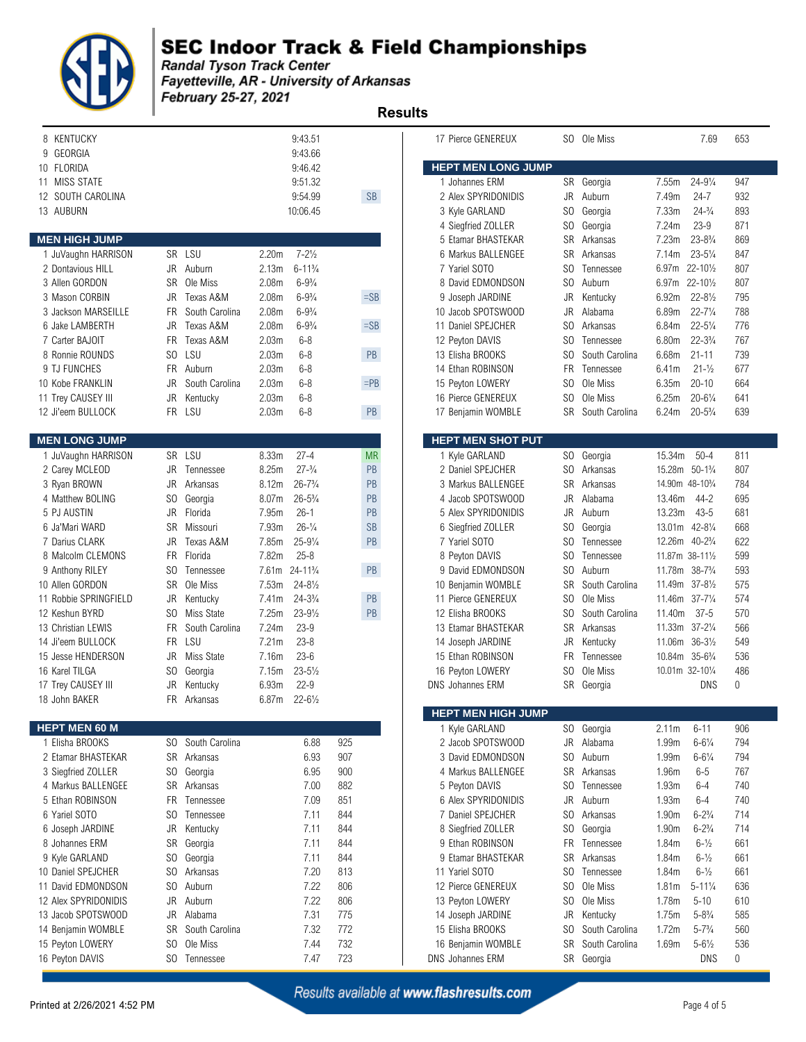

### **SEC Indoor Track & Field Championships**

**Example 12 September 2018**<br>Fandal Tyson Track Center<br>Fayetteville, AR - University of Arkansas February 25-27, 2021  **Results** 

| 8 KENTUCKY                 |                |                |                   | 9:43.51             |     |           | 17 Pierce GENEREUX        |                | SO Ole Miss    |                   | 7.69                                     | 653 |
|----------------------------|----------------|----------------|-------------------|---------------------|-----|-----------|---------------------------|----------------|----------------|-------------------|------------------------------------------|-----|
| GEORGIA<br>9<br>10 FLORIDA |                |                |                   | 9:43.66<br>9:46.42  |     |           | <b>HEPT MEN LONG JUMP</b> |                |                |                   |                                          |     |
| 11 MISS STATE              |                |                |                   | 9:51.32             |     |           | 1 Johannes ERM            |                | SR Georgia     | 7.55m             | $24 - 9\frac{1}{4}$                      | 947 |
| 12 SOUTH CAROLINA          |                |                |                   | 9:54.99             |     | SB        | 2 Alex SPYRIDONIDIS       | JR             | Auburn         | 7.49m             | $24 - 7$                                 | 932 |
| 13 AUBURN                  |                |                |                   | 10:06.45            |     |           | 3 Kyle GARLAND            | SO             | Georgia        | 7.33m             | $24 - \frac{3}{4}$                       | 893 |
|                            |                |                |                   |                     |     |           | 4 Siegfried ZOLLER        | S <sub>0</sub> | Georgia        | 7.24m             | $23 - 9$                                 | 871 |
| <b>MEN HIGH JUMP</b>       |                |                |                   |                     |     |           | 5 Etamar BHASTEKAR        | <b>SR</b>      | Arkansas       | 7.23m             | $23 - 8\frac{3}{4}$                      | 869 |
| 1 JuVaughn HARRISON        |                | SR LSU         | 2.20 <sub>m</sub> | $7 - 2\frac{1}{2}$  |     |           | 6 Markus BALLENGEE        | SR             | Arkansas       | 7.14m             | $23 - 5\frac{1}{4}$                      | 847 |
| 2 Dontavious HILL          | JR             | Auburn         | 2.13m             | $6 - 11\frac{3}{4}$ |     |           | 7 Yariel SOTO             | SO             | Tennessee      | 6.97m             | $22 - 10\frac{1}{2}$                     | 807 |
| 3 Allen GORDON             | <b>SR</b>      | Ole Miss       | 2.08 <sub>m</sub> | $6 - 9\frac{3}{4}$  |     |           | 8 David EDMONDSON         | SO             | Auburn         | 6.97m             | $22 - 10\frac{1}{2}$                     | 807 |
| 3 Mason CORBIN             | JR             | Texas A&M      | 2.08m             | $6 - 9\frac{3}{4}$  |     | $=$ SB    | 9 Joseph JARDINE          | <b>JR</b>      | Kentucky       | 6.92m             | $22 - 8\frac{1}{2}$                      | 795 |
| 3 Jackson MARSEILLE        | <b>FR</b>      | South Carolina | 2.08 <sub>m</sub> | $6 - 9\frac{3}{4}$  |     |           | 10 Jacob SPOTSWOOD        | JR             | Alabama        | 6.89m             | $22 - 7\frac{1}{4}$                      | 788 |
| 6 Jake LAMBERTH            | JR             | Texas A&M      | 2.08 <sub>m</sub> | $6 - 9\frac{3}{4}$  |     | $=$ SB    | 11 Daniel SPEJCHER        | SO.            | Arkansas       | 6.84m             | $22 - 5\frac{1}{4}$                      | 776 |
| 7 Carter BAJOIT            | FR.            | Texas A&M      | 2.03m             | $6 - 8$             |     |           | 12 Peyton DAVIS           | SO             | Tennessee      | 6.80m             | $22 - 3\frac{3}{4}$                      | 767 |
| 8 Ronnie ROUNDS            | S <sub>0</sub> | LSU            | 2.03m             | $6 - 8$             |     | PB        | 13 Elisha BROOKS          | S <sub>0</sub> | South Carolina | 6.68m             | $21 - 11$                                | 739 |
| 9 TJ FUNCHES               | FR.            | Auburn         | 2.03m             | $6 - 8$             |     |           | 14 Ethan ROBINSON         | <b>FR</b>      | Tennessee      | 6.41m             | $21 - \frac{1}{2}$                       | 677 |
| 10 Kobe FRANKLIN           | JR             | South Carolina | 2.03m             | $6 - 8$             |     | $=$ PB    | 15 Peyton LOWERY          | S <sub>0</sub> | Ole Miss       | 6.35m             | $20 - 10$                                | 664 |
| 11 Trey CAUSEY III         | JR             | Kentucky       | 2.03m             | $6 - 8$             |     |           | 16 Pierce GENEREUX        | S <sub>0</sub> | Ole Miss       | 6.25m             | $20 - 6\frac{1}{4}$                      | 641 |
| 12 Ji'eem BULLOCK          |                | FR LSU         | 2.03m             | $6 - 8$             |     | PB        | 17 Benjamin WOMBLE        | <b>SR</b>      | South Carolina | 6.24m             | $20 - 5\frac{3}{4}$                      | 639 |
| <b>MEN LONG JUMP</b>       |                |                |                   |                     |     |           | <b>HEPT MEN SHOT PUT</b>  |                |                |                   |                                          |     |
| 1 JuVaughn HARRISON        |                | SR LSU         | 8.33m             | $27 - 4$            |     | <b>MR</b> | 1 Kyle GARLAND            | SO.            | Georgia        | 15.34m            | $50 - 4$                                 | 811 |
| 2 Carey MCLEOD             | JR             | Tennessee      | 8.25m             | $27 - \frac{3}{4}$  |     | PB        | 2 Daniel SPEJCHER         | SO             | Arkansas       |                   | 15.28m 50-1%                             | 807 |
| 3 Ryan BROWN               | JR             | Arkansas       | 8.12m             | $26 - 7\frac{3}{4}$ |     | PB        | 3 Markus BALLENGEE        | <b>SR</b>      | Arkansas       |                   | 14.90m 48-10 <sup>3</sup> / <sub>4</sub> | 784 |
| 4 Matthew BOLING           | SO.            | Georgia        | 8.07m             | $26 - 5\frac{3}{4}$ |     | PB        | 4 Jacob SPOTSWOOD         | JR             | Alabama        | 13.46m            | $44 - 2$                                 | 695 |
| 5 PJ AUSTIN                | <b>JR</b>      | Florida        | 7.95m             | $26 - 1$            |     | PB        | 5 Alex SPYRIDONIDIS       | JR             | Auburn         | 13.23m            | $43 - 5$                                 | 681 |
| 6 Ja'Mari WARD             | <b>SR</b>      | Missouri       | 7.93m             | $26 - \frac{1}{4}$  |     | <b>SB</b> | 6 Siegfried ZOLLER        | SO             | Georgia        |                   | 13.01m 42-81/4                           | 668 |
| 7 Darius CLARK             | JR             | Texas A&M      | 7.85m             | $25 - 9\frac{1}{4}$ |     | PB        | 7 Yariel SOTO             | SO.            | Tennessee      |                   | 12.26m 40-2 <sup>3</sup> / <sub>4</sub>  | 622 |
| 8 Malcolm CLEMONS          | <b>FR</b>      | Florida        | 7.82m             | $25 - 8$            |     |           | 8 Peyton DAVIS            | S <sub>0</sub> | Tennessee      |                   | 11.87m 38-111/2                          | 599 |
| 9 Anthony RILEY            | SO.            | Tennessee      | 7.61m             | $24 - 11^{3}/4$     |     | PB        | 9 David EDMONDSON         | SO             | Auburn         |                   | 11.78m 38-73/4                           | 593 |
| 10 Allen GORDON            | SR             | Ole Miss       | 7.53m             | $24 - 8\frac{1}{2}$ |     |           | 10 Benjamin WOMBLE        | <b>SR</b>      | South Carolina |                   | 11.49m 37-81/2                           | 575 |
| 11 Robbie SPRINGFIELD      | JR             | Kentucky       | 7.41m             | $24 - 3\frac{3}{4}$ |     | PB        | 11 Pierce GENEREUX        | S <sub>0</sub> | Ole Miss       |                   | 11.46m 37-71/4                           | 574 |
| 12 Keshun BYRD             | SO.            | Miss State     | 7.25m             | $23 - 9\frac{1}{2}$ |     | PB        | 12 Elisha BROOKS          | S <sub>0</sub> | South Carolina | 11.40m            | $37 - 5$                                 | 570 |
| 13 Christian LEWIS         | <b>FR</b>      | South Carolina | 7.24m             | $23 - 9$            |     |           | 13 Etamar BHASTEKAR       | <b>SR</b>      | Arkansas       | 11.33m            | $37 - 2\frac{1}{4}$                      | 566 |
| 14 Ji'eem BULLOCK          | FR.            | LSU            | 7.21m             | $23 - 8$            |     |           | 14 Joseph JARDINE         | JR             | Kentucky       |                   | 11.06m 36-31/2                           | 549 |
| 15 Jesse HENDERSON         | JR             | Miss State     | 7.16m             | $23 - 6$            |     |           | 15 Ethan ROBINSON         | FR.            | Tennessee      |                   | 10.84m 35-63/4                           | 536 |
| 16 Karel TILGA             | SO.            | Georgia        | 7.15m             | $23 - 5\frac{1}{2}$ |     |           | 16 Peyton LOWERY          | SO.            | Ole Miss       |                   | 10.01m 32-101/4                          | 486 |
| 17 Trey CAUSEY III         | JR             | Kentucky       | 6.93m             | $22 - 9$            |     |           | <b>DNS Johannes ERM</b>   |                | SR Georgia     |                   | DNS                                      | 0   |
| 18 John BAKER              | FR.            | Arkansas       | 6.87m             | $22 - 6\frac{1}{2}$ |     |           | <b>HEPT MEN HIGH JUMP</b> |                |                |                   |                                          |     |
| <b>HEPT MEN 60 M</b>       |                |                |                   |                     |     |           | 1 Kyle GARLAND            |                | SO Georgia     | 2.11m             | $6 - 11$                                 | 906 |
| 1 Elisha BROOKS            | SO.            | South Carolina |                   | 6.88                | 925 |           | 2 Jacob SPOTSWOOD         | JR             | Alabama        | 1.99m             | $6 - 6\frac{1}{4}$                       | 794 |
| 2 Etamar BHASTEKAR         | SR             | Arkansas       |                   | 6.93                | 907 |           | 3 David EDMONDSON         | SO             | Auburn         | 1.99m             | $6 - 6\frac{1}{4}$                       | 794 |
| 3 Siegfried ZOLLER         | S <sub>0</sub> | Georgia        |                   | 6.95                | 900 |           | 4 Markus BALLENGEE        | SR             | Arkansas       | 1.96m             | $6 - 5$                                  | 767 |
| 4 Markus BALLENGEE         | SR             | Arkansas       |                   | 7.00                | 882 |           | 5 Peyton DAVIS            | SO.            | Tennessee      | 1.93m             | $6 - 4$                                  | 740 |
| 5 Ethan ROBINSON           | FR             | Tennessee      |                   | 7.09                | 851 |           | 6 Alex SPYRIDONIDIS       | JR             | Auburn         | 1.93m             | $6 - 4$                                  | 740 |
| 6 Yariel SOTO              | S <sub>0</sub> | Tennessee      |                   | 7.11                | 844 |           | 7 Daniel SPEJCHER         | SO.            | Arkansas       | 1.90m             | $6 - 2\frac{3}{4}$                       | 714 |
| 6 Joseph JARDINE           | JR             | Kentucky       |                   | 7.11                | 844 |           | 8 Siegfried ZOLLER        | SO             | Georgia        | 1.90m             | $6 - 2\frac{3}{4}$                       | 714 |
| 8 Johannes ERM             | <b>SR</b>      | Georgia        |                   | 7.11                | 844 |           | 9 Ethan ROBINSON          | <b>FR</b>      | Tennessee      | 1.84m             | $6 - \frac{1}{2}$                        | 661 |
| 9 Kyle GARLAND             | S <sub>0</sub> | Georgia        |                   | 7.11                | 844 |           | 9 Etamar BHASTEKAR        | <b>SR</b>      | Arkansas       | 1.84m             | $6 - \frac{1}{2}$                        | 661 |
| 10 Daniel SPEJCHER         | SO.            | Arkansas       |                   | 7.20                | 813 |           | 11 Yariel SOTO            | SO             | Tennessee      | 1.84m             | $6 - \frac{1}{2}$                        | 661 |
| 11 David EDMONDSON         | S <sub>0</sub> | Auburn         |                   | 7.22                | 806 |           | 12 Pierce GENEREUX        | SO.            | Ole Miss       | 1.81 <sub>m</sub> | $5 - 11\frac{1}{4}$                      | 636 |
| 12 Alex SPYRIDONIDIS       | JR             | Auburn         |                   | 7.22                | 806 |           | 13 Peyton LOWERY          | S <sub>0</sub> | Ole Miss       | 1.78m             | $5 - 10$                                 | 610 |
| 13 Jacob SPOTSWOOD         | JR             | Alabama        |                   | 7.31                | 775 |           | 14 Joseph JARDINE         | JR             | Kentucky       | 1.75m             | $5 - 8\frac{3}{4}$                       | 585 |
| 14 Benjamin WOMBLE         | <b>SR</b>      | South Carolina |                   | 7.32                | 772 |           | 15 Elisha BROOKS          | SO             | South Carolina | 1.72m             | $5 - 7\frac{3}{4}$                       | 560 |
| 15 Peyton LOWERY           | SO.            | Ole Miss       |                   | 7.44                | 732 |           | 16 Benjamin WOMBLE        | SR             | South Carolina | 1.69m             | $5 - 6\frac{1}{2}$                       | 536 |
| 16 Peyton DAVIS            | SO.            | Tennessee      |                   | 7.47                | 723 |           | DNS Johannes ERM          |                | SR Georgia     |                   | <b>DNS</b>                               | 0   |
|                            |                |                |                   |                     |     |           |                           |                |                |                   |                                          |     |

| 17 Pierce GENEREUX                         | SO.                         | Ole Miss              |                              | 7.69                                     | 653        |
|--------------------------------------------|-----------------------------|-----------------------|------------------------------|------------------------------------------|------------|
| <b>HEPT MEN LONG JUMP</b>                  |                             |                       |                              |                                          |            |
| 1 Johannes ERM                             | SR                          | Georgia               | 7.55m                        | $24 - 9\frac{1}{4}$                      | 947        |
| 2 Alex SPYRIDONIDIS                        | <b>JR</b>                   | Auburn                | 7.49m                        | $24 - 7$                                 | 932        |
| 3 Kyle GARLAND                             | SO.                         | Georgia               | 7.33m                        | $24 - \frac{3}{4}$                       | 893        |
| 4 Siegfried ZOLLER                         | SO.                         | Georgia               | 7.24m                        | $23 - 9$                                 | 871        |
| 5 Etamar BHASTEKAR                         | SR                          | Arkansas              | 7.23m                        | $23 - 8\frac{3}{4}$                      | 869        |
| 6 Markus BALLENGEE                         | SR                          | Arkansas              | 7.14m                        | $23 - 5\frac{1}{4}$                      | 847        |
| 7 Yariel SOTO                              | SO.                         | Tennessee             | 6.97m                        | $22 - 10\frac{1}{2}$                     | 807        |
| 8 David EDMONDSON                          | SO.                         | Auburn                | 6.97m                        | $22 - 10\frac{1}{2}$                     | 807        |
| 9 Joseph JARDINE                           | JR                          | Kentucky              | 6.92m                        | $22 - 8\frac{1}{2}$                      | 795        |
| 10 Jacob SPOTSWOOD                         | JR                          | Alabama               | 6.89m                        | $22 - 7\frac{1}{4}$                      | 788        |
| 11 Daniel SPEJCHER                         | SO.                         | Arkansas              | 6.84m                        | $22 - 5\frac{1}{4}$                      | 776        |
| 12 Peyton DAVIS                            | SO.                         | Tennessee             | 6.80m                        | $22 - 3\frac{3}{4}$                      | 767        |
| 13 Elisha BROOKS                           | SO.                         | South Carolina        | 6.68m                        | $21 - 11$                                | 739        |
| 14 Ethan ROBINSON                          | FR.                         | Tennessee             | 6.41m                        | $21 - \frac{1}{2}$                       | 677        |
| 15 Peyton LOWERY                           | SO.                         | Ole Miss              | 6.35m                        | $20 - 10$                                | 664        |
| 16 Pierce GENEREUX                         | SO                          | Ole Miss              | 6.25m                        | $20 - 6\frac{1}{4}$                      | 641        |
| 17 Benjamin WOMBLE                         | <b>SR</b>                   | South Carolina        | 6.24m                        | $20 - 5\frac{3}{4}$                      | 639        |
|                                            |                             |                       |                              |                                          |            |
| <b>HEPT MEN SHOT PUT</b><br>1 Kyle GARLAND |                             |                       | 15.34m                       | $50 - 4$                                 | 811        |
| 2 Daniel SPEJCHER                          | SO<br>SO                    | Georgia<br>Arkansas   | 15.28m                       | $50 - 1\frac{3}{4}$                      | 807        |
| 3 Markus BALLENGEE                         | <b>SR</b>                   | Arkansas              | 14.90m 48-10 <sup>3</sup> /4 |                                          | 784        |
| 4 Jacob SPOTSWOOD                          | JR.                         | Alabama               | 13.46m                       | $44 - 2$                                 | 695        |
| 5 Alex SPYRIDONIDIS                        | JR                          | Auburn                | 13.23m                       | $43 - 5$                                 | 681        |
| 6 Siegfried ZOLLER                         | SO.                         | Georgia               | 13.01m                       | $42 - 8\frac{1}{4}$                      | 668        |
| 7 Yariel SOTO                              | SO.                         | Tennessee             | 12.26m                       | $40 - 2\frac{3}{4}$                      | 622        |
| 8 Peyton DAVIS                             | SO.                         | Tennessee             | 11.87m 38-111/2              |                                          | 599        |
| 9 David EDMONDSON                          | SO.                         | Auburn                | 11.78m                       | $38 - 7\frac{3}{4}$                      | 593        |
| 10 Benjamin WOMBLE                         | <b>SR</b>                   | South Carolina        | 11.49m                       | $37 - 8\frac{1}{2}$                      | 575        |
| 11 Pierce GENEREUX                         | SO                          | Ole Miss              | 11.46m                       | $37 - 7\frac{1}{4}$                      | 574        |
| 12 Elisha BROOKS                           | SO.                         | South Carolina        | 11.40m                       | $37 - 5$                                 | 570        |
| 13 Etamar BHASTEKAR                        | SR.                         | Arkansas              | 11.33m                       | $37 - 2\frac{1}{4}$                      | 566        |
| 14 Joseph JARDINE                          | JR                          | Kentucky              | 11.06m                       | $36 - 3\frac{1}{2}$                      | 549        |
| 15 Ethan ROBINSON                          | <b>FR</b>                   | Tennessee             | 10.84m                       | $35 - 6\frac{3}{4}$                      | 536        |
| 16 Peyton LOWERY                           | SO.                         | Ole Miss              | 10.01m 32-101/4              |                                          | 486        |
| <b>DNS</b> Johannes ERM                    | SR                          | Georgia               |                              | DNS                                      | 0          |
|                                            |                             |                       |                              |                                          |            |
| HEPT MEN HIGH JUMP                         |                             |                       |                              |                                          |            |
| 1 Kyle GARLAND                             | SO.                         | Georgia               | 2.11m                        | $6 - 11$                                 | 906        |
| 2 Jacob SPOTSWOOD                          | <b>JR</b>                   | Alabama               | 1.99m                        | $6 - 6\frac{1}{4}$                       | 794        |
| 3 David EDMONDSON<br>4 Markus BALLENGEE    | S <sub>O</sub>              | Auburn                | 1.99m                        | $6 - 6\frac{1}{4}$                       | 794        |
|                                            | SR                          | Arkansas              | 1.96m                        | $6 - 5$                                  | 767        |
| 5 Peyton DAVIS<br>6 Alex SPYRIDONIDIS      | SO.<br>JR                   | Tennessee<br>Auburn   | 1.93m                        | $6 - 4$<br>$6 - 4$                       | 740<br>740 |
|                                            | S <sub>0</sub>              | Arkansas              | 1.93m                        |                                          | 714        |
| 7 Daniel SPEJCHER                          |                             |                       | 1.90m                        | $6 - 2\frac{3}{4}$                       |            |
| 8 Siegfried ZOLLER<br>9 Ethan ROBINSON     | S <sub>O</sub><br><b>FR</b> | Georgia<br>Tennessee  | 1.90m                        | $6 - 2\frac{3}{4}$<br>$6 - \frac{1}{2}$  | 714        |
| 9 Etamar BHASTEKAR                         | <b>SR</b>                   |                       | 1.84m                        |                                          | 661        |
| 11 Yariel SOTO                             | SO                          | Arkansas<br>Tennessee | 1.84m                        | $6 - \frac{1}{2}$<br>$6 - \frac{1}{2}$   | 661        |
| 12 Pierce GENEREUX                         | SO                          | Ole Miss              | 1.84m                        | $5 - 11\frac{1}{4}$                      | 661<br>636 |
|                                            | SO                          |                       | 1.81m                        |                                          |            |
| 13 Peyton LOWERY<br>14 Joseph JARDINE      | JR                          | Ole Miss<br>Kentucky  | 1.78m                        | $5 - 10$<br>$5 - 8\frac{3}{4}$           | 610        |
| 15 Elisha BROOKS                           | S <sub>0</sub>              | South Carolina        | 1.75m                        |                                          | 585        |
| 16 Benjamin WOMBLE                         | SR                          | South Carolina        | 1.72m<br>1.69m               | $5 - 7\frac{3}{4}$<br>$5 - 6\frac{1}{2}$ | 560<br>536 |
| DNS Johannes ERM                           | <b>SR</b>                   | Georgia               |                              | DNS                                      | 0          |
|                                            |                             |                       |                              |                                          |            |